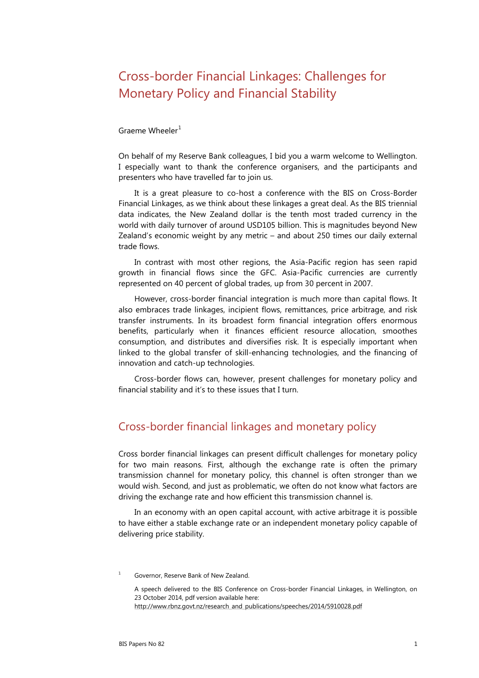# Cross-border Financial Linkages: Challenges for Monetary Policy and Financial Stability

#### Graeme Wheeler $<sup>1</sup>$  $<sup>1</sup>$  $<sup>1</sup>$ </sup>

On behalf of my Reserve Bank colleagues, I bid you a warm welcome to Wellington. I especially want to thank the conference organisers, and the participants and presenters who have travelled far to join us.

It is a great pleasure to co-host a conference with the BIS on Cross-Border Financial Linkages, as we think about these linkages a great deal. As the BIS triennial data indicates, the New Zealand dollar is the tenth most traded currency in the world with daily turnover of around USD105 billion. This is magnitudes beyond New Zealand's economic weight by any metric – and about 250 times our daily external trade flows.

In contrast with most other regions, the Asia-Pacific region has seen rapid growth in financial flows since the GFC. Asia-Pacific currencies are currently represented on 40 percent of global trades, up from 30 percent in 2007.

However, cross-border financial integration is much more than capital flows. It also embraces trade linkages, incipient flows, remittances, price arbitrage, and risk transfer instruments. In its broadest form financial integration offers enormous benefits, particularly when it finances efficient resource allocation, smoothes consumption, and distributes and diversifies risk. It is especially important when linked to the global transfer of skill-enhancing technologies, and the financing of innovation and catch-up technologies.

Cross-border flows can, however, present challenges for monetary policy and financial stability and it's to these issues that I turn.

## Cross-border financial linkages and monetary policy

Cross border financial linkages can present difficult challenges for monetary policy for two main reasons. First, although the exchange rate is often the primary transmission channel for monetary policy, this channel is often stronger than we would wish. Second, and just as problematic, we often do not know what factors are driving the exchange rate and how efficient this transmission channel is.

In an economy with an open capital account, with active arbitrage it is possible to have either a stable exchange rate or an independent monetary policy capable of delivering price stability.

<span id="page-0-0"></span><sup>1</sup> Governor, Reserve Bank of New Zealand.

A speech delivered to the BIS Conference on Cross-border Financial Linkages, in Wellington, on 23 October 2014, pdf version available here: [http://www.rbnz.govt.nz/research\\_and\\_publications/speeches/2014/5910028.pdf](http://www.rbnz.govt.nz/research_and_publications/speeches/2014/5910028.pdf)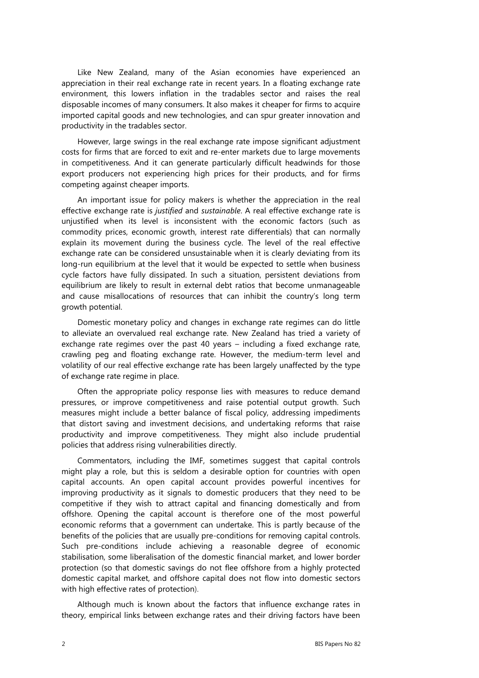Like New Zealand, many of the Asian economies have experienced an appreciation in their real exchange rate in recent years. In a floating exchange rate environment, this lowers inflation in the tradables sector and raises the real disposable incomes of many consumers. It also makes it cheaper for firms to acquire imported capital goods and new technologies, and can spur greater innovation and productivity in the tradables sector.

However, large swings in the real exchange rate impose significant adjustment costs for firms that are forced to exit and re-enter markets due to large movements in competitiveness. And it can generate particularly difficult headwinds for those export producers not experiencing high prices for their products, and for firms competing against cheaper imports.

An important issue for policy makers is whether the appreciation in the real effective exchange rate is *justified* and *sustainable*. A real effective exchange rate is unjustified when its level is inconsistent with the economic factors (such as commodity prices, economic growth, interest rate differentials) that can normally explain its movement during the business cycle. The level of the real effective exchange rate can be considered unsustainable when it is clearly deviating from its long-run equilibrium at the level that it would be expected to settle when business cycle factors have fully dissipated. In such a situation, persistent deviations from equilibrium are likely to result in external debt ratios that become unmanageable and cause misallocations of resources that can inhibit the country's long term growth potential.

Domestic monetary policy and changes in exchange rate regimes can do little to alleviate an overvalued real exchange rate. New Zealand has tried a variety of exchange rate regimes over the past 40 years – including a fixed exchange rate, crawling peg and floating exchange rate. However, the medium-term level and volatility of our real effective exchange rate has been largely unaffected by the type of exchange rate regime in place.

Often the appropriate policy response lies with measures to reduce demand pressures, or improve competitiveness and raise potential output growth. Such measures might include a better balance of fiscal policy, addressing impediments that distort saving and investment decisions, and undertaking reforms that raise productivity and improve competitiveness. They might also include prudential policies that address rising vulnerabilities directly.

Commentators, including the IMF, sometimes suggest that capital controls might play a role, but this is seldom a desirable option for countries with open capital accounts. An open capital account provides powerful incentives for improving productivity as it signals to domestic producers that they need to be competitive if they wish to attract capital and financing domestically and from offshore. Opening the capital account is therefore one of the most powerful economic reforms that a government can undertake. This is partly because of the benefits of the policies that are usually pre-conditions for removing capital controls. Such pre-conditions include achieving a reasonable degree of economic stabilisation, some liberalisation of the domestic financial market, and lower border protection (so that domestic savings do not flee offshore from a highly protected domestic capital market, and offshore capital does not flow into domestic sectors with high effective rates of protection).

Although much is known about the factors that influence exchange rates in theory, empirical links between exchange rates and their driving factors have been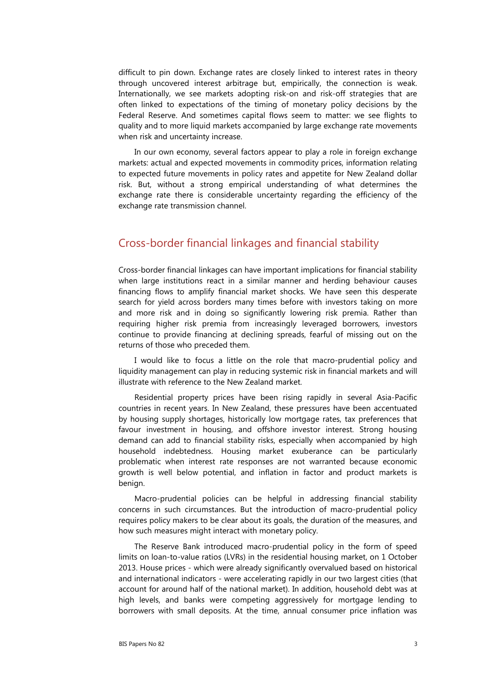difficult to pin down. Exchange rates are closely linked to interest rates in theory through uncovered interest arbitrage but, empirically, the connection is weak. Internationally, we see markets adopting risk-on and risk-off strategies that are often linked to expectations of the timing of monetary policy decisions by the Federal Reserve. And sometimes capital flows seem to matter: we see flights to quality and to more liquid markets accompanied by large exchange rate movements when risk and uncertainty increase.

In our own economy, several factors appear to play a role in foreign exchange markets: actual and expected movements in commodity prices, information relating to expected future movements in policy rates and appetite for New Zealand dollar risk. But, without a strong empirical understanding of what determines the exchange rate there is considerable uncertainty regarding the efficiency of the exchange rate transmission channel.

### Cross-border financial linkages and financial stability

Cross-border financial linkages can have important implications for financial stability when large institutions react in a similar manner and herding behaviour causes financing flows to amplify financial market shocks. We have seen this desperate search for yield across borders many times before with investors taking on more and more risk and in doing so significantly lowering risk premia. Rather than requiring higher risk premia from increasingly leveraged borrowers, investors continue to provide financing at declining spreads, fearful of missing out on the returns of those who preceded them.

I would like to focus a little on the role that macro-prudential policy and liquidity management can play in reducing systemic risk in financial markets and will illustrate with reference to the New Zealand market.

Residential property prices have been rising rapidly in several Asia-Pacific countries in recent years. In New Zealand, these pressures have been accentuated by housing supply shortages, historically low mortgage rates, tax preferences that favour investment in housing, and offshore investor interest. Strong housing demand can add to financial stability risks, especially when accompanied by high household indebtedness. Housing market exuberance can be particularly problematic when interest rate responses are not warranted because economic growth is well below potential, and inflation in factor and product markets is benign.

Macro-prudential policies can be helpful in addressing financial stability concerns in such circumstances. But the introduction of macro-prudential policy requires policy makers to be clear about its goals, the duration of the measures, and how such measures might interact with monetary policy.

The Reserve Bank introduced macro-prudential policy in the form of speed limits on loan-to-value ratios (LVRs) in the residential housing market, on 1 October 2013. House prices - which were already significantly overvalued based on historical and international indicators - were accelerating rapidly in our two largest cities (that account for around half of the national market). In addition, household debt was at high levels, and banks were competing aggressively for mortgage lending to borrowers with small deposits. At the time, annual consumer price inflation was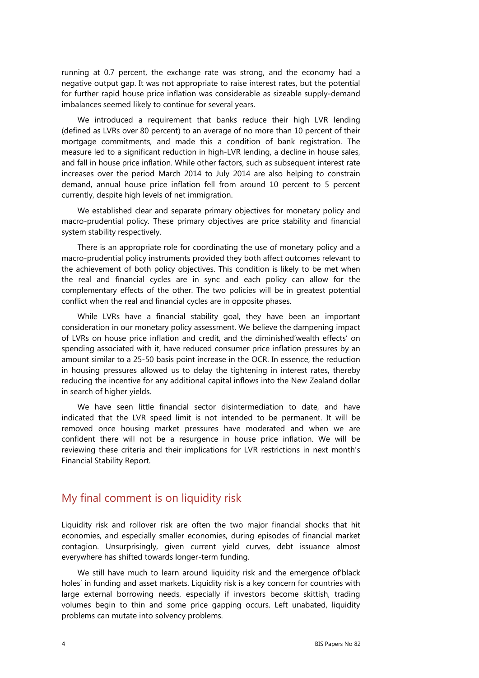running at 0.7 percent, the exchange rate was strong, and the economy had a negative output gap. It was not appropriate to raise interest rates, but the potential for further rapid house price inflation was considerable as sizeable supply-demand imbalances seemed likely to continue for several years.

We introduced a requirement that banks reduce their high LVR lending (defined as LVRs over 80 percent) to an average of no more than 10 percent of their mortgage commitments, and made this a condition of bank registration. The measure led to a significant reduction in high-LVR lending, a decline in house sales, and fall in house price inflation. While other factors, such as subsequent interest rate increases over the period March 2014 to July 2014 are also helping to constrain demand, annual house price inflation fell from around 10 percent to 5 percent currently, despite high levels of net immigration.

We established clear and separate primary objectives for monetary policy and macro-prudential policy. These primary objectives are price stability and financial system stability respectively.

There is an appropriate role for coordinating the use of monetary policy and a macro-prudential policy instruments provided they both affect outcomes relevant to the achievement of both policy objectives. This condition is likely to be met when the real and financial cycles are in sync and each policy can allow for the complementary effects of the other. The two policies will be in greatest potential conflict when the real and financial cycles are in opposite phases.

While LVRs have a financial stability goal, they have been an important consideration in our monetary policy assessment. We believe the dampening impact of LVRs on house price inflation and credit, and the diminished'wealth effects' on spending associated with it, have reduced consumer price inflation pressures by an amount similar to a 25-50 basis point increase in the OCR. In essence, the reduction in housing pressures allowed us to delay the tightening in interest rates, thereby reducing the incentive for any additional capital inflows into the New Zealand dollar in search of higher yields.

We have seen little financial sector disintermediation to date, and have indicated that the LVR speed limit is not intended to be permanent. It will be removed once housing market pressures have moderated and when we are confident there will not be a resurgence in house price inflation. We will be reviewing these criteria and their implications for LVR restrictions in next month's Financial Stability Report.

#### My final comment is on liquidity risk

Liquidity risk and rollover risk are often the two major financial shocks that hit economies, and especially smaller economies, during episodes of financial market contagion. Unsurprisingly, given current yield curves, debt issuance almost everywhere has shifted towards longer-term funding.

We still have much to learn around liquidity risk and the emergence of'black holes' in funding and asset markets. Liquidity risk is a key concern for countries with large external borrowing needs, especially if investors become skittish, trading volumes begin to thin and some price gapping occurs. Left unabated, liquidity problems can mutate into solvency problems.